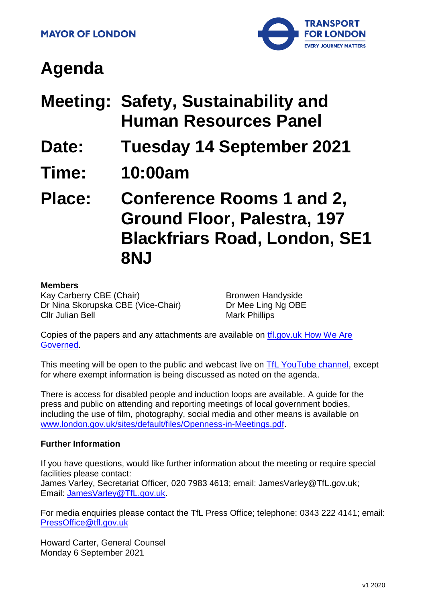

# **Agenda**

| <b>Meeting: Safety, Sustainability and</b> |
|--------------------------------------------|
| <b>Human Resources Panel</b>               |

- **Date: Tuesday 14 September 2021**
- **Time: 10:00am**

**Place: Conference Rooms 1 and 2, Ground Floor, Palestra, 197 Blackfriars Road, London, SE1 8NJ**

#### **Members**

Kay Carberry CBE (Chair) Dr Nina Skorupska CBE (Vice-Chair) Cllr Julian Bell

Bronwen Handyside Dr Mee Ling Ng OBE Mark Phillips

Copies of the papers and any attachments are available on tfl.gov.uk How We Are [Governed.](http://www.tfl.gov.uk/corporate/about-tfl/how-we-work/how-we-are-governed)

This meeting will be open to the public and webcast live on [TfL YouTube channel,](https://www.youtube.com/watch?v=_2U9viPQ9WE&list=PLtnlusA0Zoggk4qvN68OcnD9k_7B8cY_d) except for where exempt information is being discussed as noted on the agenda.

There is access for disabled people and induction loops are available. A guide for the press and public on attending and reporting meetings of local government bodies, including the use of film, photography, social media and other means is available on [www.london.gov.uk/sites/default/files/Openness-in-Meetings.pdf.](http://www.london.gov.uk/sites/default/files/Openness-in-Meetings.pdf)

#### **Further Information**

If you have questions, would like further information about the meeting or require special facilities please contact:

James Varley, Secretariat Officer, 020 7983 4613; email: JamesVarley@TfL.gov.uk; Email: [JamesVarley@TfL.gov.uk.](mailto:Secretariat02@tfl.gov.uk)

For media enquiries please contact the TfL Press Office; telephone: 0343 222 4141; email: [PressOffice@tfl.gov.uk](mailto:PressOffice@tfl.gov.uk)

Howard Carter, General Counsel Monday 6 September 2021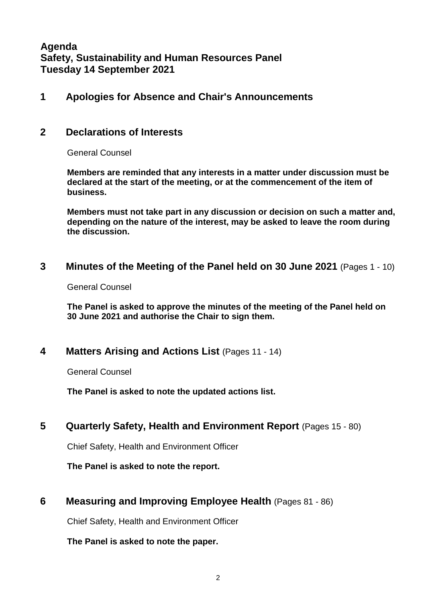**Agenda Safety, Sustainability and Human Resources Panel Tuesday 14 September 2021**

#### **1 Apologies for Absence and Chair's Announcements**

## **2 Declarations of Interests**

General Counsel

**Members are reminded that any interests in a matter under discussion must be declared at the start of the meeting, or at the commencement of the item of business.** 

**Members must not take part in any discussion or decision on such a matter and, depending on the nature of the interest, may be asked to leave the room during the discussion.**

#### **3 Minutes of the Meeting of the Panel held on 30 June 2021** (Pages 1 - 10)

General Counsel

**The Panel is asked to approve the minutes of the meeting of the Panel held on 30 June 2021 and authorise the Chair to sign them.**

#### **4 Matters Arising and Actions List** (Pages 11 - 14)

General Counsel

**The Panel is asked to note the updated actions list.**

## **5 Quarterly Safety, Health and Environment Report** (Pages 15 - 80)

Chief Safety, Health and Environment Officer

**The Panel is asked to note the report.**

## **6 Measuring and Improving Employee Health** (Pages 81 - 86)

Chief Safety, Health and Environment Officer

**The Panel is asked to note the paper.**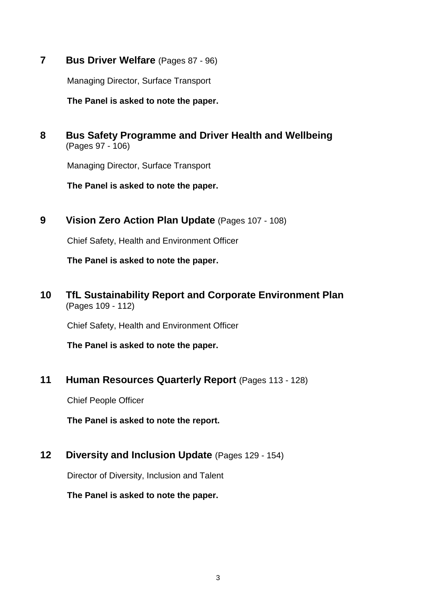**7 Bus Driver Welfare** (Pages 87 - 96)

Managing Director, Surface Transport

**The Panel is asked to note the paper.**

**8 Bus Safety Programme and Driver Health and Wellbeing** (Pages 97 - 106)

Managing Director, Surface Transport

**The Panel is asked to note the paper.** 

**9 Vision Zero Action Plan Update** (Pages 107 - 108)

Chief Safety, Health and Environment Officer

**The Panel is asked to note the paper.**

**10 TfL Sustainability Report and Corporate Environment Plan** (Pages 109 - 112)

Chief Safety, Health and Environment Officer

**The Panel is asked to note the paper.**

**11 Human Resources Quarterly Report** (Pages 113 - 128)

Chief People Officer

**The Panel is asked to note the report.**

**12 Diversity and Inclusion Update** (Pages 129 - 154)

Director of Diversity, Inclusion and Talent

**The Panel is asked to note the paper.**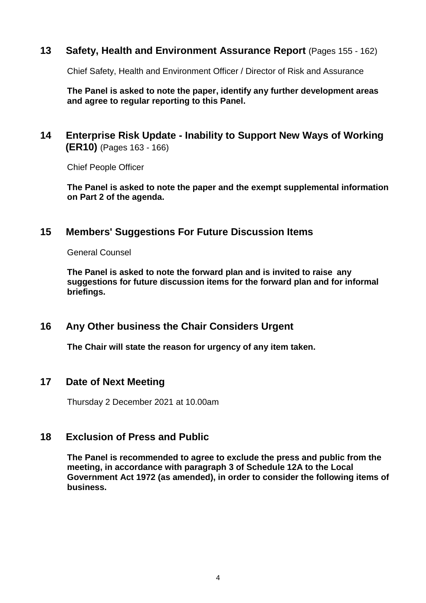#### **13 Safety, Health and Environment Assurance Report** (Pages 155 - 162)

Chief Safety, Health and Environment Officer / Director of Risk and Assurance

**The Panel is asked to note the paper, identify any further development areas and agree to regular reporting to this Panel.**

## **14 Enterprise Risk Update - Inability to Support New Ways of Working (ER10)** (Pages 163 - 166)

Chief People Officer

**The Panel is asked to note the paper and the exempt supplemental information on Part 2 of the agenda.**

## **15 Members' Suggestions For Future Discussion Items**

General Counsel

**The Panel is asked to note the forward plan and is invited to raise any suggestions for future discussion items for the forward plan and for informal briefings.**

## **16 Any Other business the Chair Considers Urgent**

**The Chair will state the reason for urgency of any item taken.**

#### **17 Date of Next Meeting**

Thursday 2 December 2021 at 10.00am

## **18 Exclusion of Press and Public**

**The Panel is recommended to agree to exclude the press and public from the meeting, in accordance with paragraph 3 of Schedule 12A to the Local Government Act 1972 (as amended), in order to consider the following items of business.**